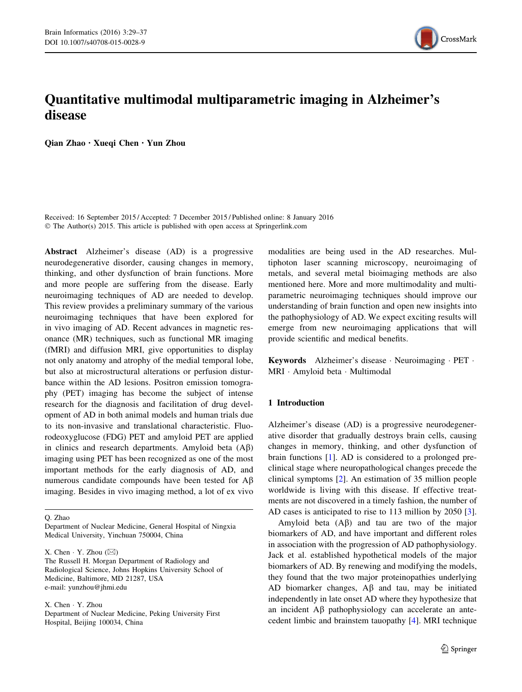

# Quantitative multimodal multiparametric imaging in Alzheimer's disease

Qian Zhao · Xueqi Chen · Yun Zhou

Received: 16 September 2015 / Accepted: 7 December 2015 / Published online: 8 January 2016 © The Author(s) 2015. This article is published with open access at Springerlink.com

Abstract Alzheimer's disease (AD) is a progressive neurodegenerative disorder, causing changes in memory, thinking, and other dysfunction of brain functions. More and more people are suffering from the disease. Early neuroimaging techniques of AD are needed to develop. This review provides a preliminary summary of the various neuroimaging techniques that have been explored for in vivo imaging of AD. Recent advances in magnetic resonance (MR) techniques, such as functional MR imaging (fMRI) and diffusion MRI, give opportunities to display not only anatomy and atrophy of the medial temporal lobe, but also at microstructural alterations or perfusion disturbance within the AD lesions. Positron emission tomography (PET) imaging has become the subject of intense research for the diagnosis and facilitation of drug development of AD in both animal models and human trials due to its non-invasive and translational characteristic. Fluorodeoxyglucose (FDG) PET and amyloid PET are applied in clinics and research departments. Amyloid beta  $(A\beta)$ imaging using PET has been recognized as one of the most important methods for the early diagnosis of AD, and numerous candidate compounds have been tested for  $A\beta$ imaging. Besides in vivo imaging method, a lot of ex vivo

Q. Zhao

X. Chen  $\cdot$  Y. Zhou  $(\boxtimes)$ 

X. Chen - Y. Zhou

modalities are being used in the AD researches. Multiphoton laser scanning microscopy, neuroimaging of metals, and several metal bioimaging methods are also mentioned here. More and more multimodality and multiparametric neuroimaging techniques should improve our understanding of brain function and open new insights into the pathophysiology of AD. We expect exciting results will emerge from new neuroimaging applications that will provide scientific and medical benefits.

Keywords Alzheimer's disease - Neuroimaging - PET - MRI - Amyloid beta - Multimodal

# 1 Introduction

Alzheimer's disease (AD) is a progressive neurodegenerative disorder that gradually destroys brain cells, causing changes in memory, thinking, and other dysfunction of brain functions [[1\]](#page-4-0). AD is considered to a prolonged preclinical stage where neuropathological changes precede the clinical symptoms [\[2](#page-5-0)]. An estimation of 35 million people worldwide is living with this disease. If effective treatments are not discovered in a timely fashion, the number of AD cases is anticipated to rise to 113 million by 2050 [\[3](#page-5-0)].

Amyloid beta  $(A\beta)$  and tau are two of the major biomarkers of AD, and have important and different roles in association with the progression of AD pathophysiology. Jack et al. established hypothetical models of the major biomarkers of AD. By renewing and modifying the models, they found that the two major proteinopathies underlying AD biomarker changes,  $\overrightarrow{AB}$  and tau, may be initiated independently in late onset AD where they hypothesize that an incident  $\mathbf{A}\beta$  pathophysiology can accelerate an antecedent limbic and brainstem tauopathy [[4\]](#page-5-0). MRI technique

Department of Nuclear Medicine, General Hospital of Ningxia Medical University, Yinchuan 750004, China

The Russell H. Morgan Department of Radiology and Radiological Science, Johns Hopkins University School of Medicine, Baltimore, MD 21287, USA e-mail: yunzhou@jhmi.edu

Department of Nuclear Medicine, Peking University First Hospital, Beijing 100034, China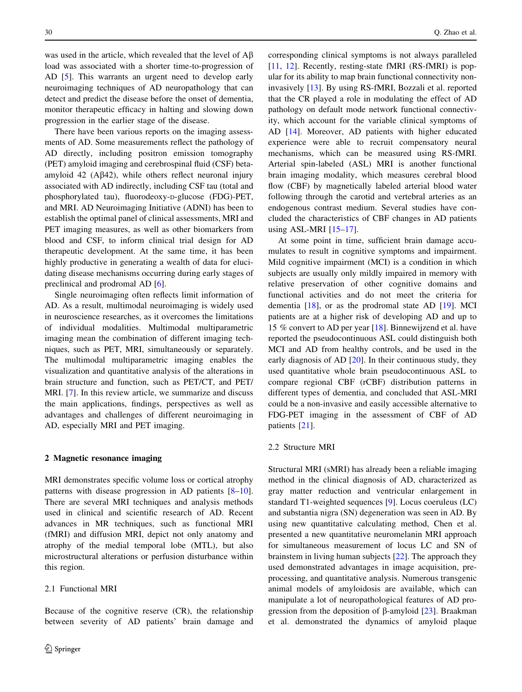was used in the article, which revealed that the level of Ab load was associated with a shorter time-to-progression of AD [[5\]](#page-5-0). This warrants an urgent need to develop early neuroimaging techniques of AD neuropathology that can detect and predict the disease before the onset of dementia, monitor therapeutic efficacy in halting and slowing down progression in the earlier stage of the disease.

There have been various reports on the imaging assessments of AD. Some measurements reflect the pathology of AD directly, including positron emission tomography (PET) amyloid imaging and cerebrospinal fluid (CSF) betaamyloid 42 ( $\Delta\beta$ 42), while others reflect neuronal injury associated with AD indirectly, including CSF tau (total and phosphorylated tau), fluorodeoxy-D-glucose (FDG)-PET, and MRI. AD Neuroimaging Initiative (ADNI) has been to establish the optimal panel of clinical assessments, MRI and PET imaging measures, as well as other biomarkers from blood and CSF, to inform clinical trial design for AD therapeutic development. At the same time, it has been highly productive in generating a wealth of data for elucidating disease mechanisms occurring during early stages of preclinical and prodromal AD [\[6](#page-5-0)].

Single neuroimaging often reflects limit information of AD. As a result, multimodal neuroimaging is widely used in neuroscience researches, as it overcomes the limitations of individual modalities. Multimodal multiparametric imaging mean the combination of different imaging techniques, such as PET, MRI, simultaneously or separately. The multimodal multiparametric imaging enables the visualization and quantitative analysis of the alterations in brain structure and function, such as PET/CT, and PET/ MRI. [[7\]](#page-5-0). In this review article, we summarize and discuss the main applications, findings, perspectives as well as advantages and challenges of different neuroimaging in AD, especially MRI and PET imaging.

#### 2 Magnetic resonance imaging

MRI demonstrates specific volume loss or cortical atrophy patterns with disease progression in AD patients [\[8–10](#page-5-0)]. There are several MRI techniques and analysis methods used in clinical and scientific research of AD. Recent advances in MR techniques, such as functional MRI (fMRI) and diffusion MRI, depict not only anatomy and atrophy of the medial temporal lobe (MTL), but also microstructural alterations or perfusion disturbance within this region.

# 2.1 Functional MRI

corresponding clinical symptoms is not always paralleled [\[11](#page-5-0), [12\]](#page-5-0). Recently, resting-state fMRI (RS-fMRI) is popular for its ability to map brain functional connectivity noninvasively [[13\]](#page-5-0). By using RS-fMRI, Bozzali et al. reported that the CR played a role in modulating the effect of AD pathology on default mode network functional connectivity, which account for the variable clinical symptoms of AD [\[14](#page-5-0)]. Moreover, AD patients with higher educated experience were able to recruit compensatory neural mechanisms, which can be measured using RS-fMRI. Arterial spin-labeled (ASL) MRI is another functional brain imaging modality, which measures cerebral blood flow (CBF) by magnetically labeled arterial blood water following through the carotid and vertebral arteries as an endogenous contrast medium. Several studies have concluded the characteristics of CBF changes in AD patients using ASL-MRI [[15–17\]](#page-5-0).

At some point in time, sufficient brain damage accumulates to result in cognitive symptoms and impairment. Mild cognitive impairment (MCI) is a condition in which subjects are usually only mildly impaired in memory with relative preservation of other cognitive domains and functional activities and do not meet the criteria for dementia [[18\]](#page-5-0), or as the prodromal state AD [\[19](#page-5-0)]. MCI patients are at a higher risk of developing AD and up to 15 % convert to AD per year [\[18](#page-5-0)]. Binnewijzend et al. have reported the pseudocontinuous ASL could distinguish both MCI and AD from healthy controls, and be used in the early diagnosis of AD [[20\]](#page-5-0). In their continuous study, they used quantitative whole brain pseudocontinuous ASL to compare regional CBF (rCBF) distribution patterns in different types of dementia, and concluded that ASL-MRI could be a non-invasive and easily accessible alternative to FDG-PET imaging in the assessment of CBF of AD patients [[21\]](#page-5-0).

# 2.2 Structure MRI

Structural MRI (sMRI) has already been a reliable imaging method in the clinical diagnosis of AD, characterized as gray matter reduction and ventricular enlargement in standard T1-weighted sequences [\[9](#page-5-0)]. Locus coeruleus (LC) and substantia nigra (SN) degeneration was seen in AD. By using new quantitative calculating method, Chen et al. presented a new quantitative neuromelanin MRI approach for simultaneous measurement of locus LC and SN of brainstem in living human subjects [[22\]](#page-5-0). The approach they used demonstrated advantages in image acquisition, preprocessing, and quantitative analysis. Numerous transgenic animal models of amyloidosis are available, which can manipulate a lot of neuropathological features of AD progression from the deposition of  $\beta$ -amyloid [\[23](#page-5-0)]. Braakman et al. demonstrated the dynamics of amyloid plaque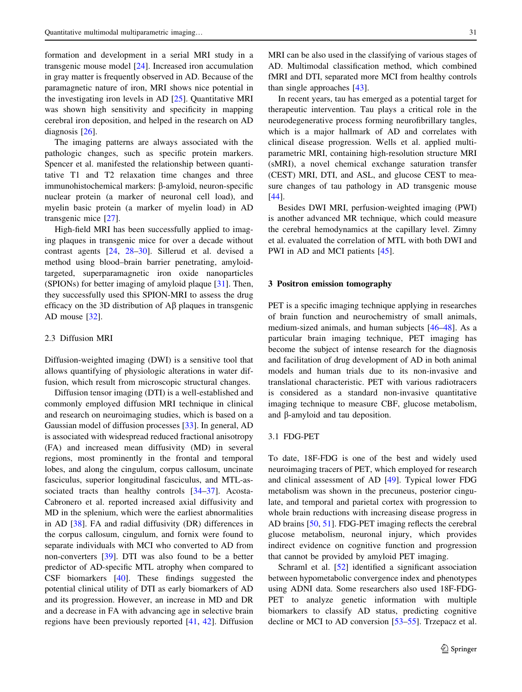formation and development in a serial MRI study in a transgenic mouse model [[24\]](#page-5-0). Increased iron accumulation in gray matter is frequently observed in AD. Because of the paramagnetic nature of iron, MRI shows nice potential in the investigating iron levels in AD [[25\]](#page-5-0). Quantitative MRI was shown high sensitivity and specificity in mapping cerebral iron deposition, and helped in the research on AD diagnosis [\[26](#page-5-0)].

The imaging patterns are always associated with the pathologic changes, such as specific protein markers. Spencer et al. manifested the relationship between quantitative T1 and T2 relaxation time changes and three immunohistochemical markers:  $\beta$ -amyloid, neuron-specific nuclear protein (a marker of neuronal cell load), and myelin basic protein (a marker of myelin load) in AD transgenic mice [[27\]](#page-5-0).

High-field MRI has been successfully applied to imaging plaques in transgenic mice for over a decade without contrast agents [\[24](#page-5-0), [28](#page-5-0)–[30\]](#page-5-0). Sillerud et al. devised a method using blood–brain barrier penetrating, amyloidtargeted, superparamagnetic iron oxide nanoparticles (SPIONs) for better imaging of amyloid plaque [[31\]](#page-5-0). Then, they successfully used this SPION-MRI to assess the drug efficacy on the 3D distribution of  $\overrightarrow{AB}$  plaques in transgenic AD mouse [\[32](#page-5-0)].

## 2.3 Diffusion MRI

Diffusion-weighted imaging (DWI) is a sensitive tool that allows quantifying of physiologic alterations in water diffusion, which result from microscopic structural changes.

Diffusion tensor imaging (DTI) is a well-established and commonly employed diffusion MRI technique in clinical and research on neuroimaging studies, which is based on a Gaussian model of diffusion processes [\[33](#page-5-0)]. In general, AD is associated with widespread reduced fractional anisotropy (FA) and increased mean diffusivity (MD) in several regions, most prominently in the frontal and temporal lobes, and along the cingulum, corpus callosum, uncinate fasciculus, superior longitudinal fasciculus, and MTL-as-sociated tracts than healthy controls [[34–](#page-5-0)[37\]](#page-6-0). Acosta-Cabronero et al. reported increased axial diffusivity and MD in the splenium, which were the earliest abnormalities in AD [[38\]](#page-6-0). FA and radial diffusivity (DR) differences in the corpus callosum, cingulum, and fornix were found to separate individuals with MCI who converted to AD from non-converters [\[39](#page-6-0)]. DTI was also found to be a better predictor of AD-specific MTL atrophy when compared to CSF biomarkers [\[40](#page-6-0)]. These findings suggested the potential clinical utility of DTI as early biomarkers of AD and its progression. However, an increase in MD and DR and a decrease in FA with advancing age in selective brain regions have been previously reported [\[41](#page-6-0), [42](#page-6-0)]. Diffusion MRI can be also used in the classifying of various stages of AD. Multimodal classification method, which combined fMRI and DTI, separated more MCI from healthy controls than single approaches [[43\]](#page-6-0).

In recent years, tau has emerged as a potential target for therapeutic intervention. Tau plays a critical role in the neurodegenerative process forming neurofibrillary tangles, which is a major hallmark of AD and correlates with clinical disease progression. Wells et al. applied multiparametric MRI, containing high-resolution structure MRI (sMRI), a novel chemical exchange saturation transfer (CEST) MRI, DTI, and ASL, and glucose CEST to measure changes of tau pathology in AD transgenic mouse [\[44](#page-6-0)].

Besides DWI MRI, perfusion-weighted imaging (PWI) is another advanced MR technique, which could measure the cerebral hemodynamics at the capillary level. Zimny et al. evaluated the correlation of MTL with both DWI and PWI in AD and MCI patients [\[45](#page-6-0)].

#### 3 Positron emission tomography

PET is a specific imaging technique applying in researches of brain function and neurochemistry of small animals, medium-sized animals, and human subjects [\[46–48](#page-6-0)]. As a particular brain imaging technique, PET imaging has become the subject of intense research for the diagnosis and facilitation of drug development of AD in both animal models and human trials due to its non-invasive and translational characteristic. PET with various radiotracers is considered as a standard non-invasive quantitative imaging technique to measure CBF, glucose metabolism, and b-amyloid and tau deposition.

# 3.1 FDG-PET

To date, 18F-FDG is one of the best and widely used neuroimaging tracers of PET, which employed for research and clinical assessment of AD [\[49](#page-6-0)]. Typical lower FDG metabolism was shown in the precuneus, posterior cingulate, and temporal and parietal cortex with progression to whole brain reductions with increasing disease progress in AD brains [\[50](#page-6-0), [51](#page-6-0)]. FDG-PET imaging reflects the cerebral glucose metabolism, neuronal injury, which provides indirect evidence on cognitive function and progression that cannot be provided by amyloid PET imaging.

Schraml et al. [[52\]](#page-6-0) identified a significant association between hypometabolic convergence index and phenotypes using ADNI data. Some researchers also used 18F-FDG-PET to analyze genetic information with multiple biomarkers to classify AD status, predicting cognitive decline or MCI to AD conversion [\[53–55](#page-6-0)]. Trzepacz et al.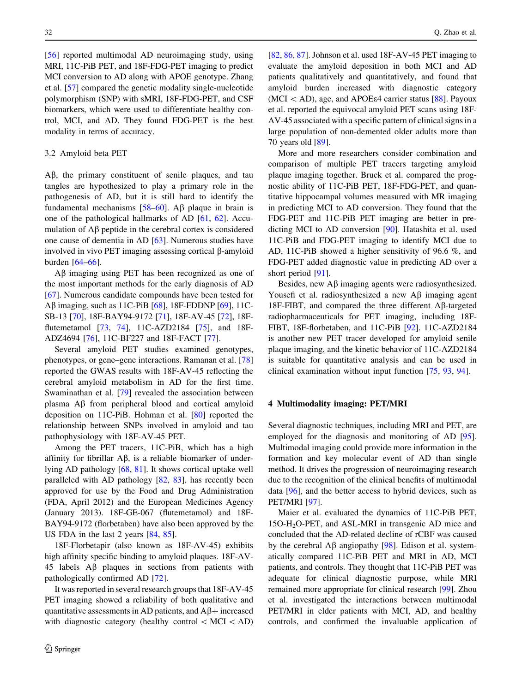[\[56](#page-6-0)] reported multimodal AD neuroimaging study, using MRI, 11C-PiB PET, and 18F-FDG-PET imaging to predict MCI conversion to AD along with APOE genotype. Zhang et al. [[57\]](#page-6-0) compared the genetic modality single-nucleotide polymorphism (SNP) with sMRI, 18F-FDG-PET, and CSF biomarkers, which were used to differentiate healthy control, MCI, and AD. They found FDG-PET is the best modality in terms of accuracy.

#### 3.2 Amyloid beta PET

 $\Delta \beta$ , the primary constituent of senile plaques, and tau tangles are hypothesized to play a primary role in the pathogenesis of AD, but it is still hard to identify the fundamental mechanisms  $[58–60]$  $[58–60]$  $[58–60]$ . A $\beta$  plaque in brain is one of the pathological hallmarks of AD [[61,](#page-6-0) [62\]](#page-6-0). Accumulation of  $\mathbf{A}\boldsymbol{\beta}$  peptide in the cerebral cortex is considered one cause of dementia in AD [\[63](#page-6-0)]. Numerous studies have involved in vivo PET imaging assessing cortical  $\beta$ -amyloid burden [\[64–66](#page-6-0)].

 $A\beta$  imaging using PET has been recognized as one of the most important methods for the early diagnosis of AD [\[67](#page-6-0)]. Numerous candidate compounds have been tested for  $\overrightarrow{AB}$  imaging, such as 11C-PiB [[68\]](#page-6-0), 18F-FDDNP [\[69\]](#page-6-0), 11C-SB-13 [[70\]](#page-6-0), 18F-BAY94-9172 [\[71](#page-6-0)], 18F-AV-45 [[72\]](#page-6-0), 18F-flutemetamol [\[73](#page-6-0), [74](#page-7-0)], 11C-AZD2184 [\[75](#page-7-0)], and 18F-ADZ4694 [\[76](#page-7-0)], 11C-BF227 and 18F-FACT [\[77](#page-7-0)].

Several amyloid PET studies examined genotypes, phenotypes, or gene–gene interactions. Ramanan et al. [[78\]](#page-7-0) reported the GWAS results with 18F-AV-45 reflecting the cerebral amyloid metabolism in AD for the first time. Swaminathan et al. [[79\]](#page-7-0) revealed the association between plasma  $\Lambda\beta$  from peripheral blood and cortical amyloid deposition on 11C-PiB. Hohman et al. [\[80](#page-7-0)] reported the relationship between SNPs involved in amyloid and tau pathophysiology with 18F-AV-45 PET.

Among the PET tracers, 11C-PiB, which has a high affinity for fibrillar  $\mathbf{A}\beta$ , is a reliable biomarker of underlying AD pathology [\[68](#page-6-0), [81\]](#page-7-0). It shows cortical uptake well paralleled with AD pathology [\[82](#page-7-0), [83](#page-7-0)], has recently been approved for use by the Food and Drug Administration (FDA, April 2012) and the European Medicines Agency (January 2013). 18F-GE-067 (flutemetamol) and 18F-BAY94-9172 (florbetaben) have also been approved by the US FDA in the last 2 years [\[84](#page-7-0), [85](#page-7-0)].

18F-Florbetapir (also known as 18F-AV-45) exhibits high affinity specific binding to amyloid plaques. 18F-AV- $45$  labels  $\overrightarrow{AB}$  plaques in sections from patients with pathologically confirmed AD [[72\]](#page-6-0).

It was reported in several research groups that 18F-AV-45 PET imaging showed a reliability of both qualitative and quantitative assessments in AD patients, and  $A\beta$ + increased with diagnostic category (healthy control  $\lt MCI \lt AD$ )

[\[82](#page-7-0), [86](#page-7-0), [87\]](#page-7-0). Johnson et al. used 18F-AV-45 PET imaging to evaluate the amyloid deposition in both MCI and AD patients qualitatively and quantitatively, and found that amyloid burden increased with diagnostic category  $(MCI < AD)$ , age, and APOE $\epsilon$ 4 carrier status [[88\]](#page-7-0). Payoux et al. reported the equivocal amyloid PET scans using 18F-AV-45 associated with a specific pattern of clinical signs in a large population of non-demented older adults more than 70 years old [[89\]](#page-7-0).

More and more researchers consider combination and comparison of multiple PET tracers targeting amyloid plaque imaging together. Bruck et al. compared the prognostic ability of 11C-PiB PET, 18F-FDG-PET, and quantitative hippocampal volumes measured with MR imaging in predicting MCI to AD conversion. They found that the FDG-PET and 11C-PiB PET imaging are better in predicting MCI to AD conversion [[90\]](#page-7-0). Hatashita et al. used 11C-PiB and FDG-PET imaging to identify MCI due to AD, 11C-PiB showed a higher sensitivity of 96.6 %, and FDG-PET added diagnostic value in predicting AD over a short period [[91\]](#page-7-0).

Besides, new  $A\beta$  imaging agents were radiosynthesized. Yousefi et al. radiosynthesized a new  $\overrightarrow{AB}$  imaging agent 18F-FIBT, and compared the three different  $\mathsf{A}\beta$ -targeted radiopharmaceuticals for PET imaging, including 18F-FIBT, 18F-florbetaben, and 11C-PiB [\[92](#page-7-0)]. 11C-AZD2184 is another new PET tracer developed for amyloid senile plaque imaging, and the kinetic behavior of 11C-AZD2184 is suitable for quantitative analysis and can be used in clinical examination without input function [[75,](#page-7-0) [93,](#page-7-0) [94](#page-7-0)].

#### 4 Multimodality imaging: PET/MRI

Several diagnostic techniques, including MRI and PET, are employed for the diagnosis and monitoring of AD [\[95](#page-7-0)]. Multimodal imaging could provide more information in the formation and key molecular event of AD than single method. It drives the progression of neuroimaging research due to the recognition of the clinical benefits of multimodal data [[96\]](#page-7-0), and the better access to hybrid devices, such as PET/MRI [\[97](#page-7-0)].

Maier et al. evaluated the dynamics of 11C-PiB PET, 15O-H2O-PET, and ASL-MRI in transgenic AD mice and concluded that the AD-related decline of rCBF was caused by the cerebral  $\overrightarrow{AB}$  angiopathy [[98\]](#page-7-0). Edison et al. systematically compared 11C-PiB PET and MRI in AD, MCI patients, and controls. They thought that 11C-PiB PET was adequate for clinical diagnostic purpose, while MRI remained more appropriate for clinical research [[99](#page-7-0)]. Zhou et al. investigated the interactions between multimodal PET/MRI in elder patients with MCI, AD, and healthy controls, and confirmed the invaluable application of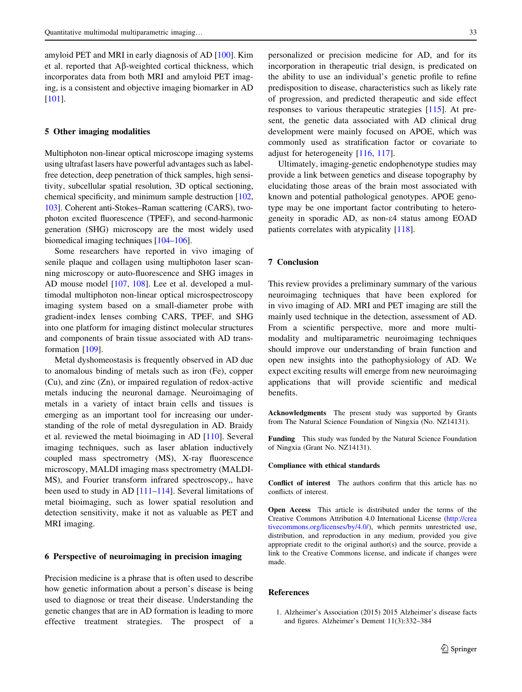<span id="page-4-0"></span>amyloid PET and MRI in early diagnosis of AD [\[100](#page-7-0)]. Kim et al. reported that  $A\beta$ -weighted cortical thickness, which incorporates data from both MRI and amyloid PET imaging, is a consistent and objective imaging biomarker in AD [\[101](#page-7-0)].

#### 5 Other imaging modalities

Multiphoton non-linear optical microscope imaging systems using ultrafast lasers have powerful advantages such as labelfree detection, deep penetration of thick samples, high sensitivity, subcellular spatial resolution, 3D optical sectioning, chemical specificity, and minimum sample destruction [\[102,](#page-7-0) [103\]](#page-7-0). Coherent anti-Stokes–Raman scattering (CARS), twophoton excited fluorescence (TPEF), and second-harmonic generation (SHG) microscopy are the most widely used biomedical imaging techniques [\[104](#page-7-0)–[106\]](#page-8-0).

Some researchers have reported in vivo imaging of senile plaque and collagen using multiphoton laser scanning microscopy or auto-fluorescence and SHG images in AD mouse model [\[107](#page-8-0), [108\]](#page-8-0). Lee et al. developed a multimodal multiphoton non-linear optical microspectroscopy imaging system based on a small-diameter probe with gradient-index lenses combing CARS, TPEF, and SHG into one platform for imaging distinct molecular structures and components of brain tissue associated with AD transformation [\[109](#page-8-0)].

Metal dyshomeostasis is frequently observed in AD due to anomalous binding of metals such as iron (Fe), copper (Cu), and zinc (Zn), or impaired regulation of redox-active metals inducing the neuronal damage. Neuroimaging of metals in a variety of intact brain cells and tissues is emerging as an important tool for increasing our understanding of the role of metal dysregulation in AD. Braidy et al. reviewed the metal bioimaging in AD [\[110](#page-8-0)]. Several imaging techniques, such as laser ablation inductively coupled mass spectrometry (MS), X-ray fluorescence microscopy, MALDI imaging mass spectrometry (MALDI-MS), and Fourier transform infrared spectroscopy,, have been used to study in AD [\[111–114](#page-8-0)]. Several limitations of metal bioimaging, such as lower spatial resolution and detection sensitivity, make it not as valuable as PET and MRI imaging.

#### 6 Perspective of neuroimaging in precision imaging

Precision medicine is a phrase that is often used to describe how genetic information about a person's disease is being used to diagnose or treat their disease. Understanding the genetic changes that are in AD formation is leading to more effective treatment strategies. The prospect of a

personalized or precision medicine for AD, and for its incorporation in therapeutic trial design, is predicated on the ability to use an individual's genetic profile to refine predisposition to disease, characteristics such as likely rate of progression, and predicted therapeutic and side effect responses to various therapeutic strategies [[115\]](#page-8-0). At present, the genetic data associated with AD clinical drug development were mainly focused on APOE, which was commonly used as stratification factor or covariate to adjust for heterogeneity [[116,](#page-8-0) [117](#page-8-0)].

Ultimately, imaging-genetic endophenotype studies may provide a link between genetics and disease topography by elucidating those areas of the brain most associated with known and potential pathological genotypes. APOE genotype may be one important factor contributing to heterogeneity in sporadic AD, as non-e4 status among EOAD patients correlates with atypicality [\[118](#page-8-0)].

#### 7 Conclusion

This review provides a preliminary summary of the various neuroimaging techniques that have been explored for in vivo imaging of AD. MRI and PET imaging are still the mainly used technique in the detection, assessment of AD. From a scientific perspective, more and more multimodality and multiparametric neuroimaging techniques should improve our understanding of brain function and open new insights into the pathophysiology of AD. We expect exciting results will emerge from new neuroimaging applications that will provide scientific and medical benefits.

Acknowledgments The present study was supported by Grants from The Natural Science Foundation of Ningxia (No. NZ14131).

Funding This study was funded by the Natural Science Foundation of Ningxia (Grant No. NZ14131).

#### Compliance with ethical standards

Conflict of interest The authors confirm that this article has no conflicts of interest.

Open Access This article is distributed under the terms of the Creative Commons Attribution 4.0 International License ([http://crea](http://creativecommons.org/licenses/by/4.0/) [tivecommons.org/licenses/by/4.0/\)](http://creativecommons.org/licenses/by/4.0/), which permits unrestricted use, distribution, and reproduction in any medium, provided you give appropriate credit to the original author(s) and the source, provide a link to the Creative Commons license, and indicate if changes were made.

#### References

1. Alzheimer's Association (2015) 2015 Alzheimer's disease facts and figures. Alzheimer's Dement 11(3):332–384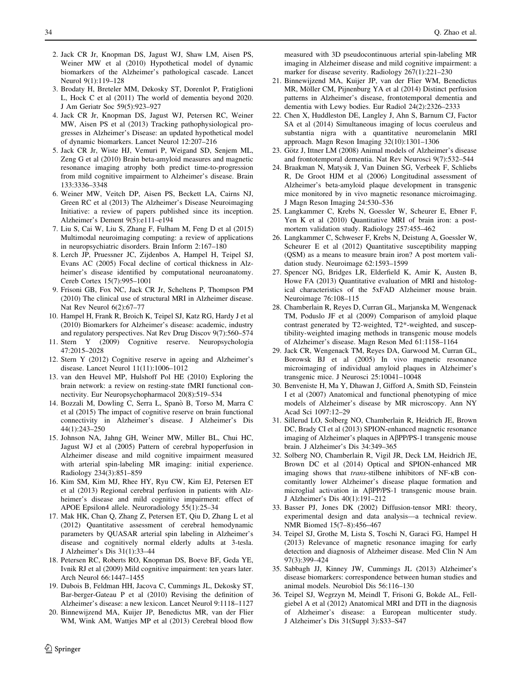- <span id="page-5-0"></span>2. Jack CR Jr, Knopman DS, Jagust WJ, Shaw LM, Aisen PS, Weiner MW et al (2010) Hypothetical model of dynamic biomarkers of the Alzheimer's pathological cascade. Lancet Neurol 9(1):119–128
- 3. Brodaty H, Breteler MM, Dekosky ST, Dorenlot P, Fratiglioni L, Hock C et al (2011) The world of dementia beyond 2020. J Am Geriatr Soc 59(5):923–927
- 4. Jack CR Jr, Knopman DS, Jagust WJ, Petersen RC, Weiner MW, Aisen PS et al (2013) Tracking pathophysiological progresses in Alzheimer's Disease: an updated hypothetical model of dynamic biomarkers. Lancet Neurol 12:207–216
- 5. Jack CR Jr, Wiste HJ, Vemuri P, Weigand SD, Senjem ML, Zeng G et al (2010) Brain beta-amyloid measures and magnetic resonance imaging atrophy both predict time-to-progression from mild cognitive impairment to Alzheimer's disease. Brain 133:3336–3348
- 6. Weiner MW, Veitch DP, Aisen PS, Beckett LA, Cairns NJ, Green RC et al (2013) The Alzheimer's Disease Neuroimaging Initiative: a review of papers published since its inception. Alzheimer's Dement 9(5):e111–e194
- 7. Liu S, Cai W, Liu S, Zhang F, Fulham M, Feng D et al (2015) Multimodal neuroimaging computing: a review of applications in neuropsychiatric disorders. Brain Inform 2:167–180
- 8. Lerch JP, Pruessner JC, Zijdenbos A, Hampel H, Teipel SJ, Evans AC (2005) Focal decline of cortical thickness in Alzheimer's disease identified by computational neuroanatomy. Cereb Cortex 15(7):995–1001
- 9. Frisoni GB, Fox NC, Jack CR Jr, Scheltens P, Thompson PM (2010) The clinical use of structural MRI in Alzheimer disease. Nat Rev Neurol 6(2):67–77
- 10. Hampel H, Frank R, Broich K, Teipel SJ, Katz RG, Hardy J et al (2010) Biomarkers for Alzheimer's disease: academic, industry and regulatory perspectives. Nat Rev Drug Discov 9(7):560–574
- 11. Stern Y (2009) Cognitive reserve. Neuropsychologia 47:2015–2028
- 12. Stern Y (2012) Cognitive reserve in ageing and Alzheimer's disease. Lancet Neurol 11(11):1006–1012
- 13. van den Heuvel MP, Hulshoff Pol HE (2010) Exploring the brain network: a review on resting-state fMRI functional connectivity. Eur Neuropsychopharmacol 20(8):519–534
- 14. Bozzali M, Dowling C, Serra L, Spanò B, Torso M, Marra C et al (2015) The impact of cognitive reserve on brain functional connectivity in Alzheimer's disease. J Alzheimer's Dis 44(1):243–250
- 15. Johnson NA, Jahng GH, Weiner MW, Miller BL, Chui HC, Jagust WJ et al (2005) Pattern of cerebral hypoperfusion in Alzheimer disease and mild cognitive impairment measured with arterial spin-labeling MR imaging: initial experience. Radiology 234(3):851–859
- 16. Kim SM, Kim MJ, Rhee HY, Ryu CW, Kim EJ, Petersen ET et al (2013) Regional cerebral perfusion in patients with Alzheimer's disease and mild cognitive impairment: effect of APOE Epsilon4 allele. Neuroradiology 55(1):25–34
- 17. Mak HK, Chan Q, Zhang Z, Petersen ET, Qiu D, Zhang L et al (2012) Quantitative assessment of cerebral hemodynamic parameters by QUASAR arterial spin labeling in Alzheimer's disease and cognitively normal elderly adults at 3-tesla. J Alzheimer's Dis 31(1):33–44
- 18. Petersen RC, Roberts RO, Knopman DS, Boeve BF, Geda YE, Ivnik RJ et al (2009) Mild cognitive impairment: ten years later. Arch Neurol 66:1447–1455
- 19. Dubois B, Feldman HH, Jacova C, Cummings JL, Dekosky ST, Bar-berger-Gateau P et al (2010) Revising the definition of Alzheimer's disease: a new lexicon. Lancet Neurol 9:1118–1127
- 20. Binnewijzend MA, Kuijer JP, Benedictus MR, van der Flier WM, Wink AM, Wattjes MP et al (2013) Cerebral blood flow

MR, Möller CM, Pijnenburg YA et al (2014) Distinct perfusion patterns in Alzheimer's disease, frontotemporal dementia and dementia with Lewy bodies. Eur Radiol 24(2):2326–2333

22. Chen X, Huddleston DE, Langley J, Ahn S, Barnum CJ, Factor SA et al (2014) Simultaneous imaging of locus coeruleus and substantia nigra with a quantitative neuromelanin MRI approach. Magn Reson Imaging 32(10):1301–1306

measured with 3D pseudocontinuous arterial spin-labeling MR imaging in Alzheimer disease and mild cognitive impairment: a marker for disease severity. Radiology 267(1):221–230 21. Binnewijzend MA, Kuijer JP, van der Flier WM, Benedictus

- 23. Götz J, Ittner LM (2008) Animal models of Alzheimer's disease and frontotemporal dementia. Nat Rev Neurosci 9(7):532–544
- 24. Braakman N, Matysik J, Van Duinen SG, Verbeek F, Schliebs R, De Groot HJM et al (2006) Longitudinal assessment of Alzheimer's beta-amyloid plaque development in transgenic mice monitored by in vivo magnetic resonance microimaging. J Magn Reson Imaging 24:530–536
- 25. Langkammer C, Krebs N, Goessler W, Scheurer E, Ebner F, Yen K et al (2010) Quantitative MRI of brain iron: a postmortem validation study. Radiology 257:455–462
- 26. Langkammer C, Schweser F, Krebs N, Deistung A, Goessler W, Scheurer E et al (2012) Quantitative susceptibility mapping (QSM) as a means to measure brain iron? A post mortem validation study. Neuroimage 62:1593–1599
- 27. Spencer NG, Bridges LR, Elderfield K, Amir K, Austen B, Howe FA (2013) Quantitative evaluation of MRI and histological characteristics of the 5xFAD Alzheimer mouse brain. Neuroimage 76:108–115
- 28. Chamberlain R, Reyes D, Curran GL, Marjanska M, Wengenack TM, Poduslo JF et al (2009) Comparison of amyloid plaque contrast generated by T2-weighted, T2\*-weighted, and susceptibility-weighted imaging methods in transgenic mouse models of Alzheimer's disease. Magn Reson Med 61:1158–1164
- 29. Jack CR, Wengenack TM, Reyes DA, Garwood M, Curran GL, Borowsk BJ et al (2005) In vivo magnetic resonance microimaging of individual amyloid plaques in Alzheimer's transgenic mice. J Neurosci 25:10041–10048
- 30. Benveniste H, Ma Y, Dhawan J, Gifford A, Smith SD, Feinstein I et al (2007) Anatomical and functional phenotyping of mice models of Alzheimer's disease by MR microscopy. Ann NY Acad Sci 1097:12–29
- 31. Sillerud LO, Solberg NO, Chamberlain R, Heidrich JE, Brown DC, Brady CI et al (2013) SPION-enhanced magnetic resonance imaging of Alzheimer's plaques in A $\beta$ PP/PS-1 transgenic mouse brain. J Alzheimer's Dis 34:349–365
- 32. Solberg NO, Chamberlain R, Vigil JR, Deck LM, Heidrich JE, Brown DC et al (2014) Optical and SPION-enhanced MR imaging shows that *trans*-stilbene inhibitors of NF- $\kappa$ B concomitantly lower Alzheimer's disease plaque formation and microglial activation in AbPP/PS-1 transgenic mouse brain. J Alzheimer's Dis 40(1):191–212
- 33. Basser PJ, Jones DK (2002) Diffusion-tensor MRI: theory, experimental design and data analysis—a technical review. NMR Biomed 15(7–8):456–467
- 34. Teipel SJ, Grothe M, Lista S, Toschi N, Garaci FG, Hampel H (2013) Relevance of magnetic resonance imaging for early detection and diagnosis of Alzheimer disease. Med Clin N Am 97(3):399–424
- 35. Sabbagh JJ, Kinney JW, Cummings JL (2013) Alzheimer's disease biomarkers: correspondence between human studies and animal models. Neurobiol Dis 56:116–130
- 36. Teipel SJ, Wegrzyn M, Meindl T, Frisoni G, Bokde AL, Fellgiebel A et al (2012) Anatomical MRI and DTI in the diagnosis of Alzheimer's disease: a European multicenter study. J Alzheimer's Dis 31(Suppl 3):S33–S47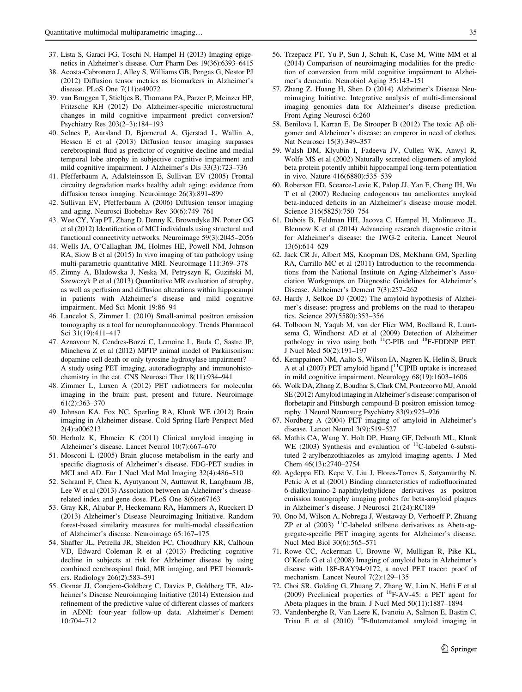- <span id="page-6-0"></span>37. Lista S, Garaci FG, Toschi N, Hampel H (2013) Imaging epigenetics in Alzheimer's disease. Curr Pharm Des 19(36):6393–6415
- 38. Acosta-Cabronero J, Alley S, Williams GB, Pengas G, Nestor PJ (2012) Diffusion tensor metrics as biomarkers in Alzheimer's disease. PLoS One 7(11):e49072
- 39. van Bruggen T, Stieltjes B, Thomann PA, Parzer P, Meinzer HP, Fritzsche KH (2012) Do Alzheimer-specific microstructural changes in mild cognitive impairment predict conversion? Psychiatry Res 203(2–3):184–193
- 40. Selnes P, Aarsland D, Bjornerud A, Gjerstad L, Wallin A, Hessen E et al (2013) Diffusion tensor imaging surpasses cerebrospinal fluid as predictor of cognitive decline and medial temporal lobe atrophy in subjective cognitive impairment and mild cognitive impairment. J Alzheimer's Dis 33(3):723–736
- 41. Pfefferbaum A, Adalsteinsson E, Sullivan EV (2005) Frontal circuitry degradation marks healthy adult aging: evidence from diffusion tensor imaging. Neuroimage 26(3):891–899
- 42. Sullivan EV, Pfefferbaum A (2006) Diffusion tensor imaging and aging. Neurosci Biobehav Rev 30(6):749–761
- 43. Wee CY, Yap PT, Zhang D, Denny K, Browndyke JN, Potter GG et al (2012) Identification of MCI individuals using structural and functional connectivity networks. Neuroimage 59(3):2045–2056
- 44. Wells JA, O'Callaghan JM, Holmes HE, Powell NM, Johnson RA, Siow B et al (2015) In vivo imaging of tau pathology using multi-parametric quantitative MRI. Neuroimage 111:369–378
- 45. Zimny A, Bladowska J, Neska M, Petryszyn K, Guziński M, Szewczyk P et al (2013) Quantitative MR evaluation of atrophy, as well as perfusion and diffusion alterations within hippocampi in patients with Alzheimer's disease and mild cognitive impairment. Med Sci Monit 19:86–94
- 46. Lancelot S, Zimmer L (2010) Small-animal positron emission tomography as a tool for neuropharmacology. Trends Pharmacol Sci 31(19):411–417
- 47. Aznavour N, Cendres-Bozzi C, Lemoine L, Buda C, Sastre JP, Mincheva Z et al (2012) MPTP animal model of Parkinsonism: dopamine cell death or only tyrosine hydroxylase impairment?— A study using PET imaging, autoradiography and immunohistochemistry in the cat. CNS Neurosci Ther 18(11):934–941
- 48. Zimmer L, Luxen A (2012) PET radiotracers for molecular imaging in the brain: past, present and future. Neuroimage 61(2):363–370
- 49. Johnson KA, Fox NC, Sperling RA, Klunk WE (2012) Brain imaging in Alzheimer disease. Cold Spring Harb Perspect Med 2(4):a006213
- 50. Herholz K, Ebmeier K (2011) Clinical amyloid imaging in Alzheimer's disease. Lancet Neurol 10(7):667–670
- 51. Mosconi L (2005) Brain glucose metabolism in the early and specific diagnosis of Alzheimer's disease. FDG-PET studies in MCI and AD. Eur J Nucl Med Mol Imaging 32(4):486–510
- 52. Schraml F, Chen K, Ayutyanont N, Auttawut R, Langbaum JB, Lee W et al (2013) Association between an Alzheimer's diseaserelated index and gene dose. PLoS One 8(6):e67163
- 53. Gray KR, Aljabar P, Heckemann RA, Hammers A, Rueckert D (2013) Alzheimer's Disease Neuroimaging Initiative. Random forest-based similarity measures for multi-modal classification of Alzheimer's disease. Neuroimage 65:167–175
- 54. Shaffer JL, Petrella JR, Sheldon FC, Choudhury KR, Calhoun VD, Edward Coleman R et al (2013) Predicting cognitive decline in subjects at risk for Alzheimer disease by using combined cerebrospinal fluid, MR imaging, and PET biomarkers. Radiology 266(2):583–591
- 55. Gomar JJ, Conejero-Goldberg C, Davies P, Goldberg TE, Alzheimer's Disease Neuroimaging Initiative (2014) Extension and refinement of the predictive value of different classes of markers in ADNI: four-year follow-up data. Alzheimer's Dement 10:704–712
- 56. Trzepacz PT, Yu P, Sun J, Schuh K, Case M, Witte MM et al (2014) Comparison of neuroimaging modalities for the prediction of conversion from mild cognitive impairment to Alzheimer's dementia. Neurobiol Aging 35:143–151
- 57. Zhang Z, Huang H, Shen D (2014) Alzheimer's Disease Neuroimaging Initiative. Integrative analysis of multi-dimensional imaging genomics data for Alzheimer's disease prediction. Front Aging Neurosci 6:260
- 58. Benilova I, Karran E, De Strooper B (2012) The toxic  $\mathsf{A}\beta$  oligomer and Alzheimer's disease: an emperor in need of clothes. Nat Neurosci 15(3):349–357
- 59. Walsh DM, Klyubin I, Fadeeva JV, Cullen WK, Anwyl R, Wolfe MS et al (2002) Naturally secreted oligomers of amyloid beta protein potently inhibit hippocampal long-term potentiation in vivo. Nature 416(6880):535–539
- 60. Roberson ED, Scearce-Levie K, Palop JJ, Yan F, Cheng IH, Wu T et al (2007) Reducing endogenous tau ameliorates amyloid beta-induced deficits in an Alzheimer's disease mouse model. Science 316(5825):750–754
- 61. Dubois B, Feldman HH, Jacova C, Hampel H, Molinuevo JL, Blennow K et al (2014) Advancing research diagnostic criteria for Alzheimer's disease: the IWG-2 criteria. Lancet Neurol 13(6):614–629
- 62. Jack CR Jr, Albert MS, Knopman DS, McKhann GM, Sperling RA, Carrillo MC et al (2011) Introduction to the recommendations from the National Institute on Aging-Alzheimer's Association Workgroups on Diagnostic Guidelines for Alzheimer's Disease. Alzheimer's Dement 7(3):257–262
- 63. Hardy J, Selkoe DJ (2002) The amyloid hypothesis of Alzheimer's disease: progress and problems on the road to therapeutics. Science 297(5580):353–356
- 64. Tolboom N, Yaqub M, van der Flier WM, Boellaard R, Luurtsema G, Windhorst AD et al (2009) Detection of Alzheimer pathology in vivo using both  $^{11}$ C-PIB and  $^{18}$ F-FDDNP PET. J Nucl Med 50(2):191–197
- 65. Kemppainen NM, Aalto S, Wilson IA, Nagren K, Helin S, Bruck A et al (2007) PET amyloid ligand [<sup>11</sup>C]PIB uptake is increased in mild cognitive impairment. Neurology 68(19):1603–1606
- 66. Wolk DA, Zhang Z, Boudhar S, Clark CM, Pontecorvo MJ, Arnold SE (2012) Amyloid imaging in Alzheimer's disease: comparison of florbetapir and Pittsburgh compound-B positron emission tomography. J Neurol Neurosurg Psychiatry 83(9):923–926
- 67. Nordberg A (2004) PET imaging of amyloid in Alzheimer's disease. Lancet Neurol 3(9):519–527
- 68. Mathis CA, Wang Y, Holt DP, Huang GF, Debnath ML, Klunk WE (2003) Synthesis and evaluation of <sup>11</sup>C-labeled 6-substituted 2-arylbenzothiazoles as amyloid imaging agents. J Med Chem 46(13):2740–2754
- 69. Agdeppa ED, Kepe V, Liu J, Flores-Torres S, Satyamurthy N, Petric A et al (2001) Binding characteristics of radiofluorinated 6-dialkylamino-2-naphthylethylidene derivatives as positron emission tomography imaging probes for beta-amyloid plaques in Alzheimer's disease. J Neurosci 21(24):RC189
- 70. Ono M, Wilson A, Nobrega J, Westaway D, Verhoeff P, Zhuang ZP et al  $(2003)$  <sup>11</sup>C-labeled stilbene derivatives as Abeta-aggregate-specific PET imaging agents for Alzheimer's disease. Nucl Med Biol 30(6):565–571
- 71. Rowe CC, Ackerman U, Browne W, Mulligan R, Pike KL, O'Keefe G et al (2008) Imaging of amyloid beta in Alzheimer's disease with 18F-BAY94-9172, a novel PET tracer: proof of mechanism. Lancet Neurol 7(2):129–135
- 72. Choi SR, Golding G, Zhuang Z, Zhang W, Lim N, Hefti F et al (2009) Preclinical properties of  $^{18}$ F-AV-45: a PET agent for Abeta plaques in the brain. J Nucl Med 50(11):1887–1894
- 73. Vandenberghe R, Van Laere K, Ivanoiu A, Salmon E, Bastin C, Triau E et al (2010) 18F-flutemetamol amyloid imaging in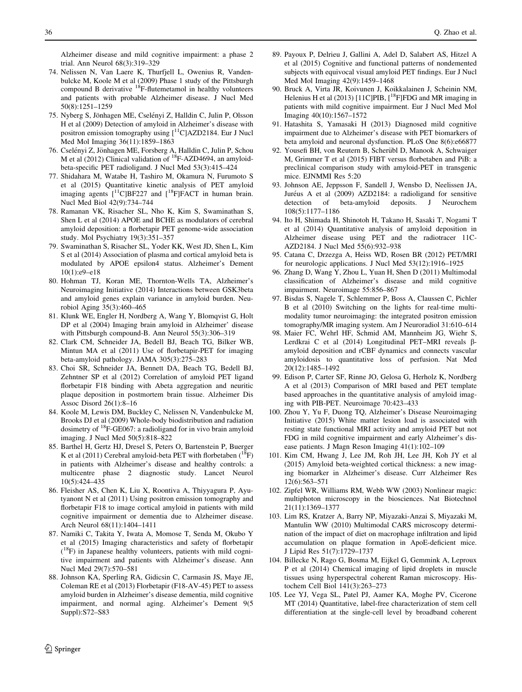<span id="page-7-0"></span>Alzheimer disease and mild cognitive impairment: a phase 2 trial. Ann Neurol 68(3):319–329

- 74. Nelissen N, Van Laere K, Thurfjell L, Owenius R, Vandenbulcke M, Koole M et al (2009) Phase 1 study of the Pittsburgh compound B derivative 18F-flutemetamol in healthy volunteers and patients with probable Alzheimer disease. J Nucl Med 50(8):1251–1259
- 75. Nyberg S, Jönhagen ME, Cselényi Z, Halldin C, Julin P, Olsson H et al (2009) Detection of amyloid in Alzheimer's disease with positron emission tomography using  $[^{11}C]AZD2184$ . Eur J Nucl Med Mol Imaging 36(11):1859–1863
- 76. Cselényi Z, Jönhagen ME, Forsberg A, Halldin C, Julin P, Schou M et al (2012) Clinical validation of  $^{18}$ F-AZD4694, an amyloidbeta-specific PET radioligand. J Nucl Med 53(3):415–424
- 77. Shidahara M, Watabe H, Tashiro M, Okamura N, Furumoto S et al (2015) Quantitative kinetic analysis of PET amyloid<br>imaging agents [<sup>11</sup>C]BF227 and [<sup>18</sup>F]FACT in human brain. Nucl Med Biol 42(9):734–744
- 78. Ramanan VK, Risacher SL, Nho K, Kim S, Swaminathan S, Shen L et al (2014) APOE and BCHE as modulators of cerebral amyloid deposition: a florbetapir PET genome-wide association study. Mol Psychiatry 19(3):351–357
- 79. Swaminathan S, Risacher SL, Yoder KK, West JD, Shen L, Kim S et al (2014) Association of plasma and cortical amyloid beta is modulated by APOE epsilon4 status. Alzheimer's Dement 10(1):e9–e18
- 80. Hohman TJ, Koran ME, Thornton-Wells TA, Alzheimer's Neuroimaging Initiative (2014) Interactions between GSK3beta and amyloid genes explain variance in amyloid burden. Neurobiol Aging 35(3):460–465
- 81. Klunk WE, Engler H, Nordberg A, Wang Y, Blomqvist G, Holt DP et al (2004) Imaging brain amyloid in Alzheimer' disease with Pittsburgh compound-B. Ann Neurol 55(3):306–319
- 82. Clark CM, Schneider JA, Bedell BJ, Beach TG, Bilker WB, Mintun MA et al (2011) Use of florbetapir-PET for imaging beta-amyloid pathology. JAMA 305(3):275–283
- 83. Choi SR, Schneider JA, Bennett DA, Beach TG, Bedell BJ, Zehntner SP et al (2012) Correlation of amyloid PET ligand florbetapir F18 binding with Abeta aggregation and neuritic plaque deposition in postmortem brain tissue. Alzheimer Dis Assoc Disord 26(1):8–16
- 84. Koole M, Lewis DM, Buckley C, Nelissen N, Vandenbulcke M, Brooks DJ et al (2009) Whole-body biodistribution and radiation dosimetry of 18F-GE067: a radioligand for in vivo brain amyloid imaging. J Nucl Med 50(5):818–822
- 85. Barthel H, Gertz HJ, Dresel S, Peters O, Bartenstein P, Buerger K et al (2011) Cerebral amyloid-beta PET with florbetaben  $(^{18}F)$ in patients with Alzheimer's disease and healthy controls: a multicentre phase 2 diagnostic study. Lancet Neurol 10(5):424–435
- 86. Fleisher AS, Chen K, Liu X, Roontiva A, Thiyyagura P, Ayutyanont N et al (2011) Using positron emission tomography and florbetapir F18 to image cortical amyloid in patients with mild cognitive impairment or dementia due to Alzheimer disease. Arch Neurol 68(11):1404–1411
- 87. Namiki C, Takita Y, Iwata A, Momose T, Senda M, Okubo Y et al (2015) Imaging characteristics and safety of florbetapir ( 18F) in Japanese healthy volunteers, patients with mild cognitive impairment and patients with Alzheimer's disease. Ann Nucl Med 29(7):570–581
- 88. Johnson KA, Sperling RA, Gidicsin C, Carmasin JS, Maye JE, Coleman RE et al (2013) Florbetapir (F18-AV-45) PET to assess amyloid burden in Alzheimer's disease dementia, mild cognitive impairment, and normal aging. Alzheimer's Dement 9(5 Suppl):S72–S83
- 89. Payoux P, Delrieu J, Gallini A, Adel D, Salabert AS, Hitzel A et al (2015) Cognitive and functional patterns of nondemented subjects with equivocal visual amyloid PET findings. Eur J Nucl Med Mol Imaging 42(9):1459–1468
- 90. Bruck A, Virta JR, Koivunen J, Koikkalainen J, Scheinin NM, Helenius H et al (2013) [11C]PIB,  $[$ <sup>18</sup>F]FDG and MR imaging in patients with mild cognitive impairment. Eur J Nucl Med Mol Imaging 40(10):1567–1572
- 91. Hatashita S, Yamasaki H (2013) Diagnosed mild cognitive impairment due to Alzheimer's disease with PET biomarkers of beta amyloid and neuronal dysfunction. PLoS One 8(6):e66877
- 92. Yousefi BH, von Reutern B, Scherübl D, Manook A, Schwaiger M, Grimmer T et al (2015) FIBT versus florbetaben and PiB: a preclinical comparison study with amyloid-PET in transgenic mice. EJNMMI Res 5:20
- 93. Johnson AE, Jeppsson F, Sandell J, Wensbo D, Neelissen JA, Juréus A et al (2009) AZD2184: a radioligand for sensitive detection of beta-amyloid deposits. J Neurochem 108(5):1177–1186
- 94. Ito H, Shimada H, Shinotoh H, Takano H, Sasaki T, Nogami T et al (2014) Quantitative analysis of amyloid deposition in Alzheimer disease using PET and the radiotracer 11C-AZD2184. J Nucl Med 55(6):932–938
- 95. Catana C, Drzezga A, Heiss WD, Rosen BR (2012) PET/MRI for neurologic applications. J Nucl Med 53(12):1916–1925
- 96. Zhang D, Wang Y, Zhou L, Yuan H, Shen D (2011) Multimodal classification of Alzheimer's disease and mild cognitive impairment. Neuroimage 55:856–867
- 97. Bisdas S, Nagele T, Schlemmer P, Boss A, Claussen C, Pichler B et al (2010) Switching on the lights for real-time multimodality tumor neuroimaging: the integrated positron emission tomography/MR imaging system. Am J Neuroradiol 31:610–614
- 98. Maier FC, Wehrl HF, Schmid AM, Mannheim JG, Wiehr S, Lerdkrai C et al (2014) Longitudinal PET–MRI reveals bamyloid deposition and rCBF dynamics and connects vascular amyloidosis to quantitative loss of perfusion. Nat Med 20(12):1485–1492
- 99. Edison P, Carter SF, Rinne JO, Gelosa G, Herholz K, Nordberg A et al (2013) Comparison of MRI based and PET template based approaches in the quantitative analysis of amyloid imaging with PIB-PET. Neuroimage 70:423–433
- 100. Zhou Y, Yu F, Duong TQ, Alzheimer's Disease Neuroimaging Initiative (2015) White matter lesion load is associated with resting state functional MRI activity and amyloid PET but not FDG in mild cognitive impairment and early Alzheimer's disease patients. J Magn Reson Imaging 41(1):102–109
- 101. Kim CM, Hwang J, Lee JM, Roh JH, Lee JH, Koh JY et al (2015) Amyloid beta-weighted cortical thickness: a new imaging biomarker in Alzheimer's disease. Curr Alzheimer Res 12(6):563–571
- 102. Zipfel WR, Williams RM, Webb WW (2003) Nonlinear magic: multiphoton microscopy in the biosciences. Nat Biotechnol 21(11):1369–1377
- 103. Lim RS, Kratzer A, Barry NP, Miyazaki-Anzai S, Miyazaki M, Mantulin WW (2010) Multimodal CARS microscopy determination of the impact of diet on macrophage infiltration and lipid accumulation on plaque formation in ApoE-deficient mice. J Lipid Res 51(7):1729–1737
- 104. Billecke N, Rago G, Bosma M, Eijkel G, Gemmink A, Leproux P et al (2014) Chemical imaging of lipid droplets in muscle tissues using hyperspectral coherent Raman microscopy. Histochem Cell Biol 141(3):263–273
- 105. Lee YJ, Vega SL, Patel PJ, Aamer KA, Moghe PV, Cicerone MT (2014) Quantitative, label-free characterization of stem cell differentiation at the single-cell level by broadband coherent